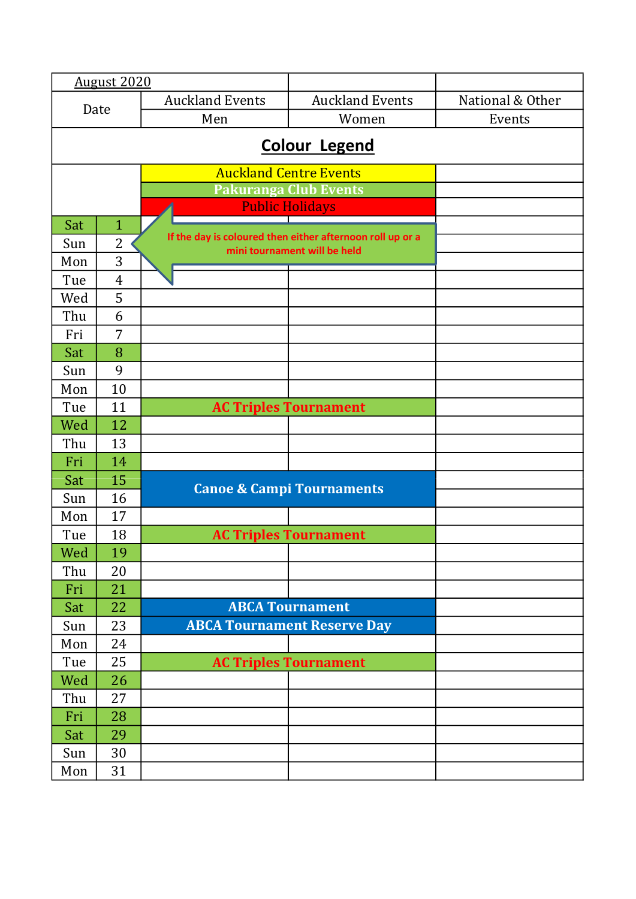|     | <b>August 2020</b>   |                        |                                                           |                  |  |  |
|-----|----------------------|------------------------|-----------------------------------------------------------|------------------|--|--|
|     |                      | <b>Auckland Events</b> | <b>Auckland Events</b>                                    | National & Other |  |  |
|     | Date<br>Men          |                        | Women                                                     | Events           |  |  |
|     |                      |                        |                                                           |                  |  |  |
|     | <b>Colour Legend</b> |                        |                                                           |                  |  |  |
|     |                      |                        | <b>Auckland Centre Events</b>                             |                  |  |  |
|     |                      |                        | <b>Pakuranga Club Events</b>                              |                  |  |  |
|     |                      |                        | <b>Public Holidays</b>                                    |                  |  |  |
| Sat | $\mathbf{1}$         |                        | If the day is coloured then either afternoon roll up or a |                  |  |  |
| Sun | $\overline{2}$       |                        | mini tournament will be held                              |                  |  |  |
| Mon | 3                    |                        |                                                           |                  |  |  |
| Tue | $\overline{4}$       |                        |                                                           |                  |  |  |
| Wed | 5                    |                        |                                                           |                  |  |  |
| Thu | 6                    |                        |                                                           |                  |  |  |
| Fri | 7                    |                        |                                                           |                  |  |  |
| Sat | 8                    |                        |                                                           |                  |  |  |
| Sun | 9                    |                        |                                                           |                  |  |  |
| Mon | 10                   |                        |                                                           |                  |  |  |
| Tue | 11                   |                        | <b>AC Triples Tournament</b>                              |                  |  |  |
| Wed | 12                   |                        |                                                           |                  |  |  |
| Thu | 13                   |                        |                                                           |                  |  |  |
| Fri | 14                   |                        |                                                           |                  |  |  |
| Sat | 15                   |                        | <b>Canoe &amp; Campi Tournaments</b>                      |                  |  |  |
| Sun | 16                   |                        |                                                           |                  |  |  |
| Mon | 17                   |                        |                                                           |                  |  |  |
| Tue | 18                   |                        | <b>AC Triples Tournament</b>                              |                  |  |  |
| Wed | 19                   |                        |                                                           |                  |  |  |
| Thu | 20                   |                        |                                                           |                  |  |  |
| Fri | 21                   |                        |                                                           |                  |  |  |
| Sat | 22                   |                        | <b>ABCA Tournament</b>                                    |                  |  |  |
| Sun | 23                   |                        | <b>ABCA Tournament Reserve Day</b>                        |                  |  |  |
| Mon | 24                   |                        |                                                           |                  |  |  |
| Tue | 25                   |                        | <b>AC Triples Tournament</b>                              |                  |  |  |
| Wed | 26                   |                        |                                                           |                  |  |  |
| Thu | 27                   |                        |                                                           |                  |  |  |
| Fri | 28                   |                        |                                                           |                  |  |  |
| Sat | 29                   |                        |                                                           |                  |  |  |
| Sun | 30                   |                        |                                                           |                  |  |  |
| Mon | 31                   |                        |                                                           |                  |  |  |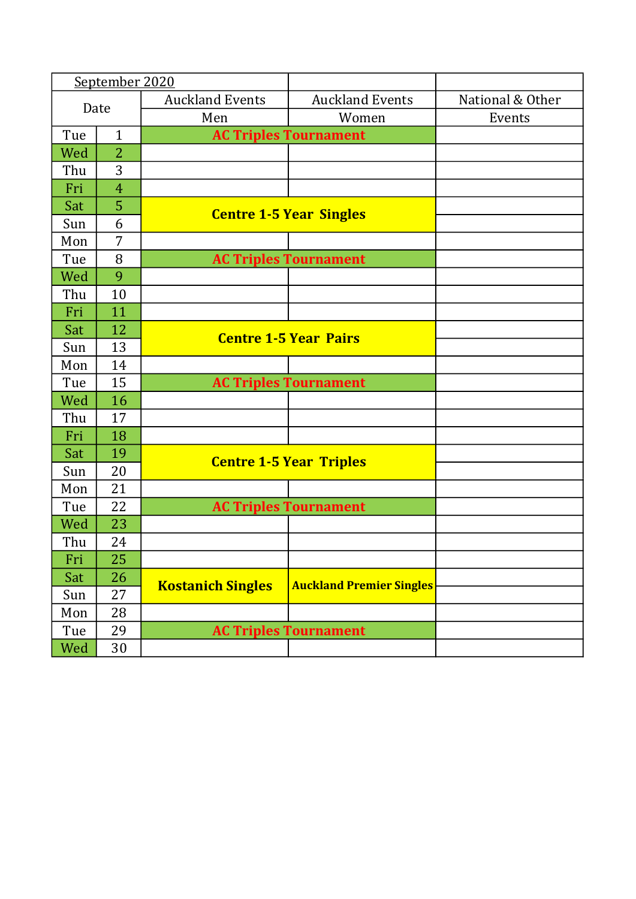| September 2020 |                |                              |                                 |                  |
|----------------|----------------|------------------------------|---------------------------------|------------------|
| Date           |                | <b>Auckland Events</b>       | <b>Auckland Events</b>          | National & Other |
|                |                | Men                          | Women                           | Events           |
| Tue            | $\mathbf{1}$   |                              | <b>AC Triples Tournament</b>    |                  |
| Wed            | $\overline{2}$ |                              |                                 |                  |
| Thu            | 3              |                              |                                 |                  |
| Fri            | $\overline{4}$ |                              |                                 |                  |
| Sat            | 5              |                              | <b>Centre 1-5 Year Singles</b>  |                  |
| Sun            | 6              |                              |                                 |                  |
| Mon            | 7              |                              |                                 |                  |
| Tue            | 8              |                              | <b>AC Triples Tournament</b>    |                  |
| Wed            | 9              |                              |                                 |                  |
| Thu            | 10             |                              |                                 |                  |
| Fri            | 11             |                              |                                 |                  |
| Sat            | 12             | <b>Centre 1-5 Year Pairs</b> |                                 |                  |
| Sun            | 13             |                              |                                 |                  |
| Mon            | 14             |                              |                                 |                  |
| Tue            | 15             |                              | <b>AC Triples Tournament</b>    |                  |
| Wed            | 16             |                              |                                 |                  |
| Thu            | 17             |                              |                                 |                  |
| Fri            | 18             |                              |                                 |                  |
| Sat            | 19             |                              |                                 |                  |
| Sun            | 20             |                              | <b>Centre 1-5 Year Triples</b>  |                  |
| Mon            | 21             |                              |                                 |                  |
| Tue            | 22             |                              | <b>AC Triples Tournament</b>    |                  |
| Wed            | 23             |                              |                                 |                  |
| Thu            | 24             |                              |                                 |                  |
| Fri            | 25             |                              |                                 |                  |
| Sat            | 26             |                              | <b>Auckland Premier Singles</b> |                  |
| Sun            | 27             | <b>Kostanich Singles</b>     |                                 |                  |
| Mon            | 28             |                              |                                 |                  |
| Tue            | 29             |                              | <b>AC Triples Tournament</b>    |                  |
| Wed            | 30             |                              |                                 |                  |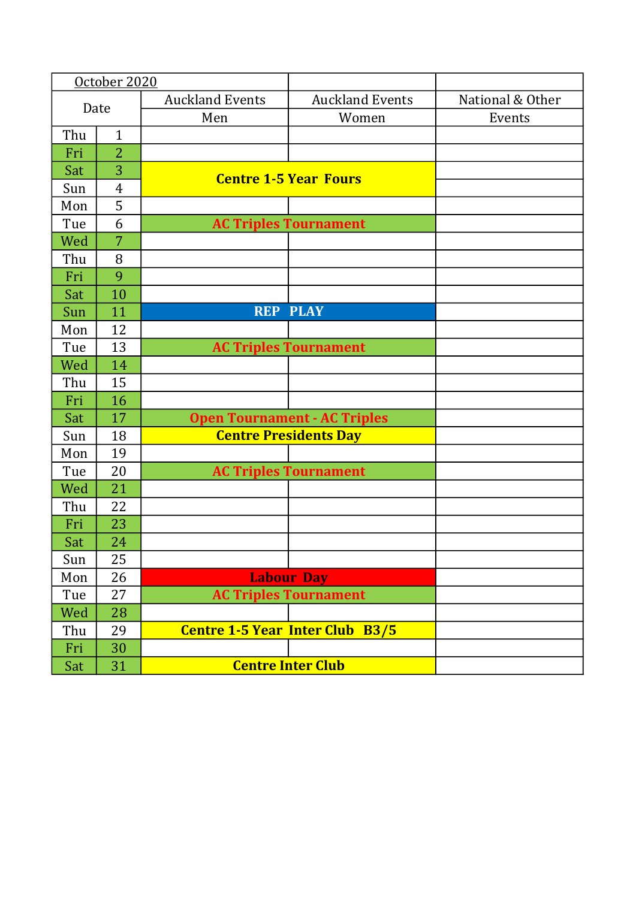|      | October 2020   |                        |                                        |                  |
|------|----------------|------------------------|----------------------------------------|------------------|
| Date |                | <b>Auckland Events</b> | <b>Auckland Events</b>                 | National & Other |
|      |                | Men                    | Women                                  | Events           |
| Thu  | $\mathbf{1}$   |                        |                                        |                  |
| Fri  | $\overline{2}$ |                        |                                        |                  |
| Sat  | 3              |                        | <b>Centre 1-5 Year Fours</b>           |                  |
| Sun  | $\overline{4}$ |                        |                                        |                  |
| Mon  | 5              |                        |                                        |                  |
| Tue  | 6              |                        | <b>AC Triples Tournament</b>           |                  |
| Wed  | 7              |                        |                                        |                  |
| Thu  | 8              |                        |                                        |                  |
| Fri  | 9              |                        |                                        |                  |
| Sat  | 10             |                        |                                        |                  |
| Sun  | 11             |                        | <b>REP PLAY</b>                        |                  |
| Mon  | 12             |                        |                                        |                  |
| Tue  | 13             |                        | <b>AC Triples Tournament</b>           |                  |
| Wed  | 14             |                        |                                        |                  |
| Thu  | 15             |                        |                                        |                  |
| Fri  | 16             |                        |                                        |                  |
| Sat  | 17             |                        | <b>Open Tournament - AC Triples</b>    |                  |
| Sun  | 18             |                        | <b>Centre Presidents Day</b>           |                  |
| Mon  | 19             |                        |                                        |                  |
| Tue  | 20             |                        | <b>AC Triples Tournament</b>           |                  |
| Wed  | 21             |                        |                                        |                  |
| Thu  | 22             |                        |                                        |                  |
| Fri  | 23             |                        |                                        |                  |
| Sat  | 24             |                        |                                        |                  |
| Sun  | 25             |                        |                                        |                  |
| Mon  | 26             |                        | <b>Labour Day</b>                      |                  |
| Tue  | 27             |                        | <b>AC Triples Tournament</b>           |                  |
| Wed  | 28             |                        |                                        |                  |
| Thu  | 29             |                        | <b>Centre 1-5 Year Inter Club B3/5</b> |                  |
| Fri  | 30             |                        |                                        |                  |
| Sat  | 31             |                        | <b>Centre Inter Club</b>               |                  |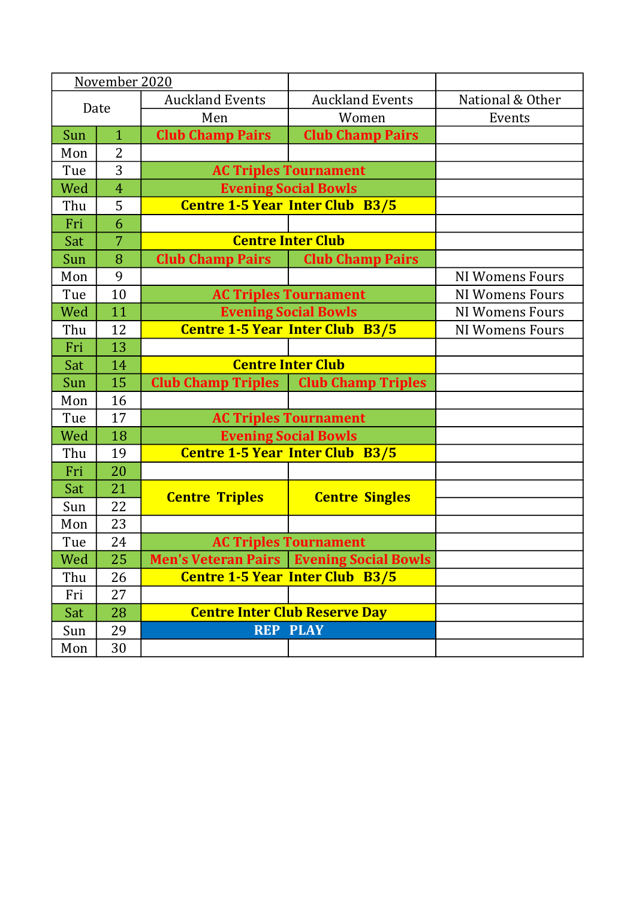| November 2020 |                |                                                    |                                                   |                        |
|---------------|----------------|----------------------------------------------------|---------------------------------------------------|------------------------|
| Date          |                | <b>Auckland Events</b>                             | <b>Auckland Events</b>                            | National & Other       |
|               |                | Men                                                | Women                                             | Events                 |
| Sun           | $\mathbf{1}$   | <b>Club Champ Pairs</b><br><b>Club Champ Pairs</b> |                                                   |                        |
| Mon           | $\overline{2}$ |                                                    |                                                   |                        |
| Tue           | 3              |                                                    | <b>AC Triples Tournament</b>                      |                        |
| Wed           | $\overline{4}$ |                                                    | <b>Evening Social Bowls</b>                       |                        |
| Thu           | 5              |                                                    | <b>Centre 1-5 Year Inter Club B3/5</b>            |                        |
| Fri           | 6              |                                                    |                                                   |                        |
| Sat           | $\overline{7}$ |                                                    | <b>Centre Inter Club</b>                          |                        |
| Sun           | 8              | <b>Club Champ Pairs</b>                            | <b>Club Champ Pairs</b>                           |                        |
| Mon           | 9              |                                                    |                                                   | <b>NI Womens Fours</b> |
| Tue           | 10             |                                                    | <b>AC Triples Tournament</b>                      | <b>NI Womens Fours</b> |
| Wed           | 11             | <b>Evening Social Bowls</b>                        |                                                   | <b>NI Womens Fours</b> |
| Thu           | 12             | <b>Centre 1-5 Year Inter Club B3/5</b>             |                                                   | <b>NI Womens Fours</b> |
| Fri           | 13             |                                                    |                                                   |                        |
| Sat           | 14             |                                                    | <b>Centre Inter Club</b>                          |                        |
| Sun           | 15             | <b>Club Champ Triples</b>                          | <b>Club Champ Triples</b>                         |                        |
| Mon           | 16             |                                                    |                                                   |                        |
| Tue           | 17             |                                                    | <b>AC Triples Tournament</b>                      |                        |
| Wed           | 18             |                                                    | <b>Evening Social Bowls</b>                       |                        |
| Thu           | 19             |                                                    | <b>Centre 1-5 Year Inter Club B3/5</b>            |                        |
| Fri           | 20             |                                                    |                                                   |                        |
| Sat           | 21             |                                                    |                                                   |                        |
| Sun           | 22             | <b>Centre Triples</b>                              | <b>Centre Singles</b>                             |                        |
| Mon           | 23             |                                                    |                                                   |                        |
| Tue           | 24             |                                                    | <b>AC Triples Tournament</b>                      |                        |
| Wed           | 25             |                                                    | <b>Men's Veteran Pairs   Evening Social Bowls</b> |                        |
| Thu           | 26             |                                                    | <b>Centre 1-5 Year Inter Club B3/5</b>            |                        |
| Fri           | 27             |                                                    |                                                   |                        |
| Sat           | 28             | <b>Centre Inter Club Reserve Day</b>               |                                                   |                        |
| Sun           | 29             |                                                    | <b>REP PLAY</b>                                   |                        |
| Mon           | 30             |                                                    |                                                   |                        |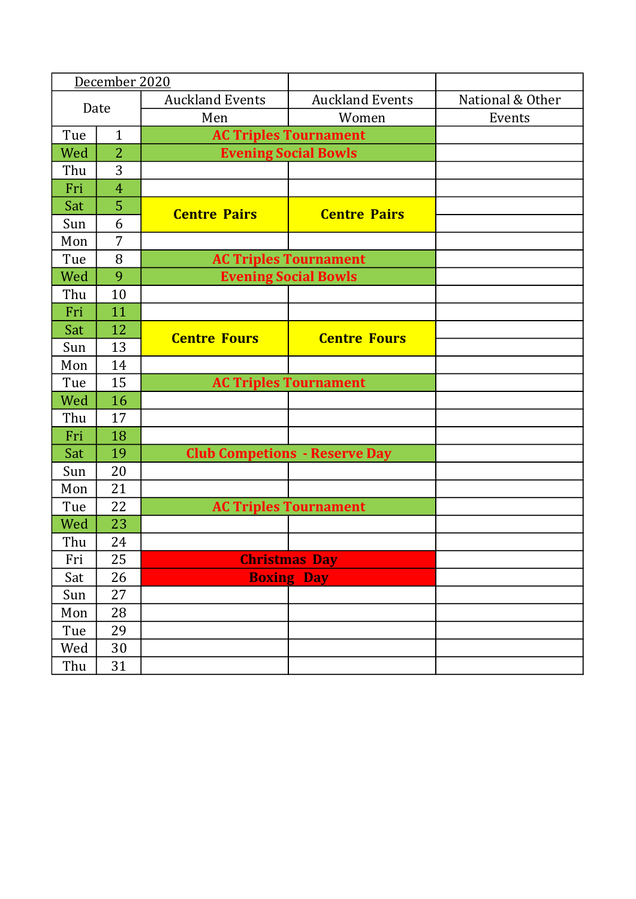|      | December 2020  |                        |                                      |                  |
|------|----------------|------------------------|--------------------------------------|------------------|
| Date |                | <b>Auckland Events</b> | <b>Auckland Events</b>               | National & Other |
|      |                | Men                    | Women                                | Events           |
| Tue  | $\mathbf{1}$   |                        | <b>AC Triples Tournament</b>         |                  |
| Wed  | $\overline{2}$ |                        | <b>Evening Social Bowls</b>          |                  |
| Thu  | 3              |                        |                                      |                  |
| Fri  | $\overline{4}$ |                        |                                      |                  |
| Sat  | 5              | <b>Centre Pairs</b>    | <b>Centre Pairs</b>                  |                  |
| Sun  | 6              |                        |                                      |                  |
| Mon  | 7              |                        |                                      |                  |
| Tue  | 8              |                        | <b>AC Triples Tournament</b>         |                  |
| Wed  | 9              |                        | <b>Evening Social Bowls</b>          |                  |
| Thu  | 10             |                        |                                      |                  |
| Fri  | 11             |                        |                                      |                  |
| Sat  | 12             | <b>Centre Fours</b>    | <b>Centre Fours</b>                  |                  |
| Sun  | 13             |                        |                                      |                  |
| Mon  | 14             |                        |                                      |                  |
| Tue  | 15             |                        | <b>AC Triples Tournament</b>         |                  |
| Wed  | 16             |                        |                                      |                  |
| Thu  | 17             |                        |                                      |                  |
| Fri  | 18             |                        |                                      |                  |
| Sat  | 19             |                        | <b>Club Competions - Reserve Day</b> |                  |
| Sun  | 20             |                        |                                      |                  |
| Mon  | 21             |                        |                                      |                  |
| Tue  | 22             |                        | <b>AC Triples Tournament</b>         |                  |
| Wed  | 23             |                        |                                      |                  |
| Thu  | 24             |                        |                                      |                  |
| Fri  | 25             |                        | <b>Christmas Day</b>                 |                  |
| Sat  | 26             |                        | <b>Boxing Day</b>                    |                  |
| Sun  | 27             |                        |                                      |                  |
| Mon  | 28             |                        |                                      |                  |
| Tue  | 29             |                        |                                      |                  |
| Wed  | 30             |                        |                                      |                  |
| Thu  | 31             |                        |                                      |                  |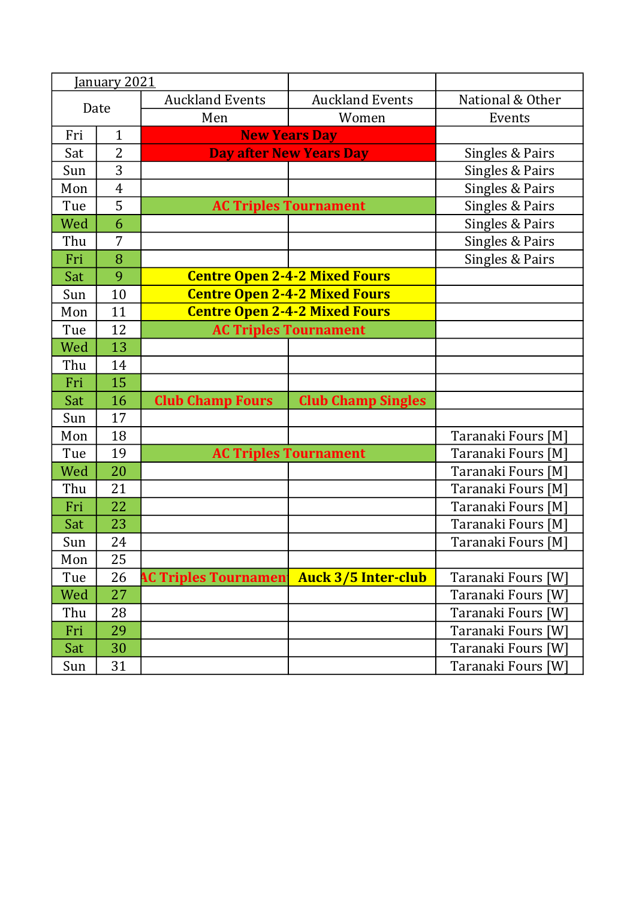|      | January 2021   |                             |                                      |                    |
|------|----------------|-----------------------------|--------------------------------------|--------------------|
| Date |                | <b>Auckland Events</b>      | <b>Auckland Events</b>               | National & Other   |
|      |                | Men                         | Women                                | Events             |
| Fri  | $\mathbf{1}$   |                             | <b>New Years Day</b>                 |                    |
| Sat  | $\overline{2}$ |                             | <b>Day after New Years Day</b>       | Singles & Pairs    |
| Sun  | 3              |                             |                                      | Singles & Pairs    |
| Mon  | $\overline{4}$ |                             |                                      | Singles & Pairs    |
| Tue  | 5              |                             | <b>AC Triples Tournament</b>         | Singles & Pairs    |
| Wed  | 6              |                             |                                      | Singles & Pairs    |
| Thu  | 7              |                             |                                      | Singles & Pairs    |
| Fri  | 8              |                             |                                      | Singles & Pairs    |
| Sat  | 9              |                             | <b>Centre Open 2-4-2 Mixed Fours</b> |                    |
| Sun  | 10             |                             | <b>Centre Open 2-4-2 Mixed Fours</b> |                    |
| Mon  | 11             |                             | <b>Centre Open 2-4-2 Mixed Fours</b> |                    |
| Tue  | 12             |                             | <b>AC Triples Tournament</b>         |                    |
| Wed  | 13             |                             |                                      |                    |
| Thu  | 14             |                             |                                      |                    |
| Fri  | 15             |                             |                                      |                    |
| Sat  | 16             | <b>Club Champ Fours</b>     | <b>Club Champ Singles</b>            |                    |
| Sun  | 17             |                             |                                      |                    |
| Mon  | 18             |                             |                                      | Taranaki Fours [M] |
| Tue  | 19             |                             | <b>AC Triples Tournament</b>         | Taranaki Fours [M] |
| Wed  | 20             |                             |                                      | Taranaki Fours [M] |
| Thu  | 21             |                             |                                      | Taranaki Fours [M] |
| Fri  | 22             |                             |                                      | Taranaki Fours [M] |
| Sat  | 23             |                             |                                      | Taranaki Fours [M] |
| Sun  | 24             |                             |                                      | Taranaki Fours [M] |
| Mon  | 25             |                             |                                      |                    |
| Tue  | 26             | <b>AC Triples Tournamen</b> | <b>Auck 3/5 Inter-club</b>           | Taranaki Fours [W] |
| Wed  | 27             |                             |                                      | Taranaki Fours [W] |
| Thu  | 28             |                             |                                      | Taranaki Fours [W] |
| Fri  | 29             |                             |                                      | Taranaki Fours [W] |
| Sat  | 30             |                             |                                      | Taranaki Fours [W] |
| Sun  | 31             |                             |                                      | Taranaki Fours [W] |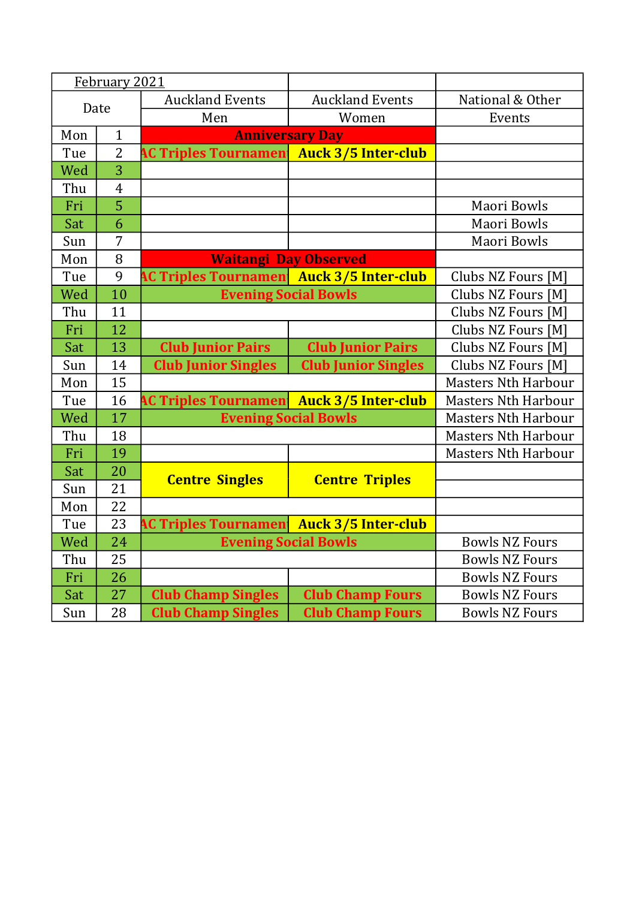| February 2021 |                 |                                                 |                            |                            |
|---------------|-----------------|-------------------------------------------------|----------------------------|----------------------------|
| Date          |                 | <b>Auckland Events</b>                          | <b>Auckland Events</b>     | National & Other           |
|               |                 | Men                                             | Women                      | Events                     |
| Mon           | $\mathbf{1}$    | <b>Anniversary Day</b>                          |                            |                            |
| Tue           | $\overline{2}$  | <b>AC Triples Tournamen</b>                     | <b>Auck 3/5 Inter-club</b> |                            |
| Wed           | $\overline{3}$  |                                                 |                            |                            |
| Thu           | $\overline{4}$  |                                                 |                            |                            |
| Fri           | $\overline{5}$  |                                                 |                            | Maori Bowls                |
| Sat           | 6               |                                                 |                            | Maori Bowls                |
| Sun           | 7               |                                                 |                            | Maori Bowls                |
| Mon           | 8               | <b>Waitangi Day Observed</b>                    |                            |                            |
| Tue           | 9               | <b>AC Triples Tournamen Auck 3/5 Inter-club</b> |                            | Clubs NZ Fours [M]         |
| Wed           | 10              | <b>Evening Social Bowls</b>                     |                            | Clubs NZ Fours [M]         |
| Thu           | 11              |                                                 |                            |                            |
| Fri           | 12              |                                                 |                            | Clubs NZ Fours [M]         |
| Sat           | 13              | <b>Club Junior Pairs</b>                        | <b>Club Junior Pairs</b>   | Clubs NZ Fours [M]         |
| Sun           | 14              | <b>Club Junior Singles</b>                      | <b>Club Junior Singles</b> | Clubs NZ Fours [M]         |
| Mon           | 15              |                                                 |                            | <b>Masters Nth Harbour</b> |
| Tue           | 16              | <b>AC Triples Tournamen Auck 3/5 Inter-club</b> |                            | <b>Masters Nth Harbour</b> |
| Wed           | 17              | <b>Evening Social Bowls</b>                     |                            | <b>Masters Nth Harbour</b> |
| Thu           | 18              |                                                 |                            | <b>Masters Nth Harbour</b> |
| Fri           | 19              |                                                 |                            | <b>Masters Nth Harbour</b> |
| Sat           | 20              | <b>Centre Singles</b>                           | <b>Centre Triples</b>      |                            |
| Sun           | 21              |                                                 |                            |                            |
| Mon           | $\overline{22}$ |                                                 |                            |                            |
| Tue           | 23              | <b>AC Triples Tournamen Auck 3/5 Inter-club</b> |                            |                            |
| Wed           | $\overline{24}$ | <b>Evening Social Bowls</b>                     |                            | <b>Bowls NZ Fours</b>      |
| Thu           | 25              |                                                 |                            | <b>Bowls NZ Fours</b>      |
| Fri           | 26              |                                                 |                            | <b>Bowls NZ Fours</b>      |
| Sat           | 27              | <b>Club Champ Singles</b>                       | <b>Club Champ Fours</b>    | <b>Bowls NZ Fours</b>      |
| Sun           | 28              | <b>Club Champ Singles</b>                       | <b>Club Champ Fours</b>    | <b>Bowls NZ Fours</b>      |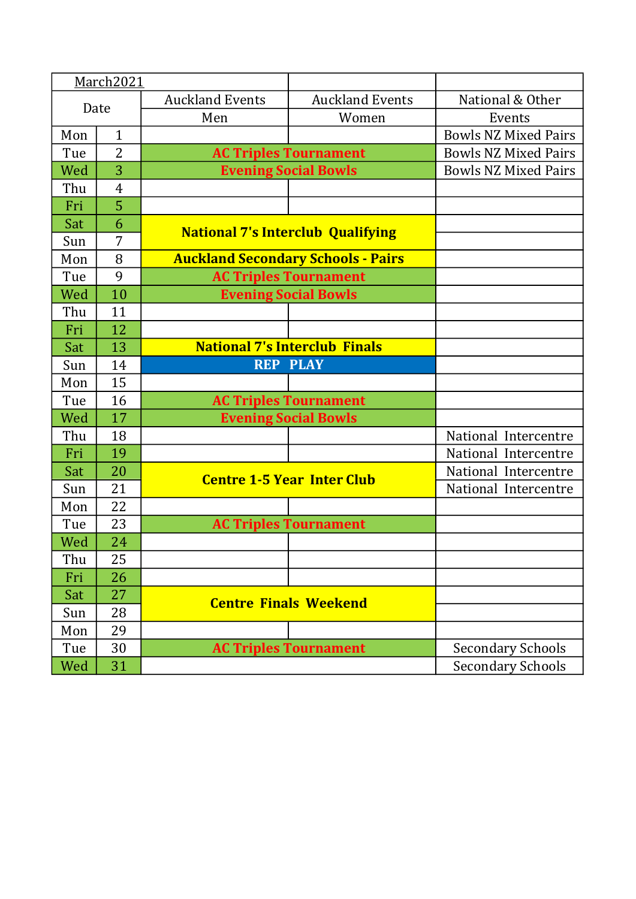|      | March2021      |                                      |                                           |                             |
|------|----------------|--------------------------------------|-------------------------------------------|-----------------------------|
| Date |                | <b>Auckland Events</b>               | <b>Auckland Events</b>                    | National & Other            |
|      |                | Men                                  | Women                                     | Events                      |
| Mon  | $\mathbf{1}$   |                                      |                                           | <b>Bowls NZ Mixed Pairs</b> |
| Tue  | $\overline{2}$ |                                      | <b>AC Triples Tournament</b>              | <b>Bowls NZ Mixed Pairs</b> |
| Wed  | 3              |                                      | <b>Evening Social Bowls</b>               | <b>Bowls NZ Mixed Pairs</b> |
| Thu  | $\overline{4}$ |                                      |                                           |                             |
| Fri  | $\overline{5}$ |                                      |                                           |                             |
| Sat  | 6              |                                      | <b>National 7's Interclub Qualifying</b>  |                             |
| Sun  | 7              |                                      |                                           |                             |
| Mon  | 8              |                                      | <b>Auckland Secondary Schools - Pairs</b> |                             |
| Tue  | 9              |                                      | <b>AC Triples Tournament</b>              |                             |
| Wed  | 10             |                                      | <b>Evening Social Bowls</b>               |                             |
| Thu  | 11             |                                      |                                           |                             |
| Fri  | 12             |                                      |                                           |                             |
| Sat  | 13             | <b>National 7's Interclub Finals</b> |                                           |                             |
| Sun  | 14             |                                      | <b>REP PLAY</b>                           |                             |
| Mon  | 15             |                                      |                                           |                             |
| Tue  | 16             |                                      | <b>AC Triples Tournament</b>              |                             |
| Wed  | 17             |                                      | <b>Evening Social Bowls</b>               |                             |
| Thu  | 18             |                                      |                                           | National Intercentre        |
| Fri  | 19             |                                      |                                           | National Intercentre        |
| Sat  | 20             |                                      | <b>Centre 1-5 Year Inter Club</b>         | National Intercentre        |
| Sun  | 21             |                                      |                                           | National Intercentre        |
| Mon  | 22             |                                      |                                           |                             |
| Tue  | 23             |                                      | <b>AC Triples Tournament</b>              |                             |
| Wed  | 24             |                                      |                                           |                             |
| Thu  | 25             |                                      |                                           |                             |
| Fri  | 26             |                                      |                                           |                             |
| Sat  | 27             |                                      | <b>Centre Finals Weekend</b>              |                             |
| Sun  | 28             |                                      |                                           |                             |
| Mon  | 29             |                                      |                                           |                             |
| Tue  | 30             |                                      | <b>AC Triples Tournament</b>              | <b>Secondary Schools</b>    |
| Wed  | 31             |                                      |                                           | <b>Secondary Schools</b>    |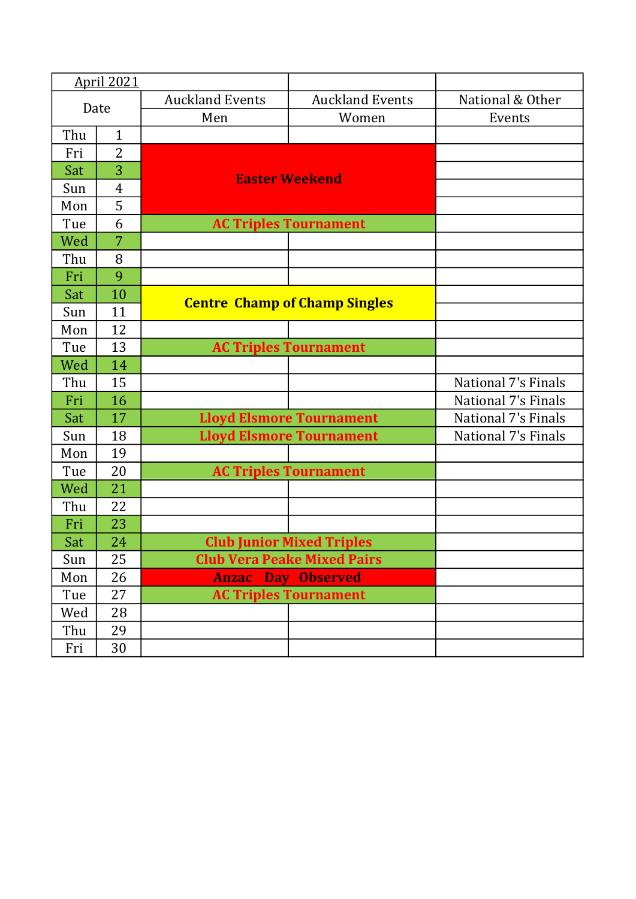|      | <b>April 2021</b> |                                      |                                    |                            |
|------|-------------------|--------------------------------------|------------------------------------|----------------------------|
| Date |                   | <b>Auckland Events</b>               | <b>Auckland Events</b>             | National & Other           |
|      |                   | Men                                  | Women                              | Events                     |
| Thu  | $\mathbf{1}$      |                                      |                                    |                            |
| Fri  | $\overline{2}$    |                                      |                                    |                            |
| Sat  | 3                 |                                      | <b>Easter Weekend</b>              |                            |
| Sun  | $\overline{4}$    |                                      |                                    |                            |
| Mon  | 5                 |                                      |                                    |                            |
| Tue  | 6                 |                                      | <b>AC Triples Tournament</b>       |                            |
| Wed  | 7                 |                                      |                                    |                            |
| Thu  | 8                 |                                      |                                    |                            |
| Fri  | 9                 |                                      |                                    |                            |
| Sat  | 10                |                                      |                                    |                            |
| Sun  | 11                | <b>Centre Champ of Champ Singles</b> |                                    |                            |
| Mon  | 12                |                                      |                                    |                            |
| Tue  | 13                |                                      | <b>AC Triples Tournament</b>       |                            |
| Wed  | 14                |                                      |                                    |                            |
| Thu  | 15                |                                      |                                    | <b>National 7's Finals</b> |
| Fri  | 16                |                                      |                                    | <b>National 7's Finals</b> |
| Sat  | 17                |                                      | <b>Lloyd Elsmore Tournament</b>    | <b>National 7's Finals</b> |
| Sun  | 18                |                                      | <b>Lloyd Elsmore Tournament</b>    | National 7's Finals        |
| Mon  | 19                |                                      |                                    |                            |
| Tue  | 20                |                                      | <b>AC Triples Tournament</b>       |                            |
| Wed  | 21                |                                      |                                    |                            |
| Thu  | 22                |                                      |                                    |                            |
| Fri  | 23                |                                      |                                    |                            |
| Sat  | 24                |                                      | <b>Club Junior Mixed Triples</b>   |                            |
| Sun  | 25                |                                      | <b>Club Vera Peake Mixed Pairs</b> |                            |
| Mon  | 26                | <b>Anzac Day Observed</b>            |                                    |                            |
| Tue  | 27                |                                      | <b>AC Triples Tournament</b>       |                            |
| Wed  | 28                |                                      |                                    |                            |
| Thu  | 29                |                                      |                                    |                            |
| Fri  | $30\,$            |                                      |                                    |                            |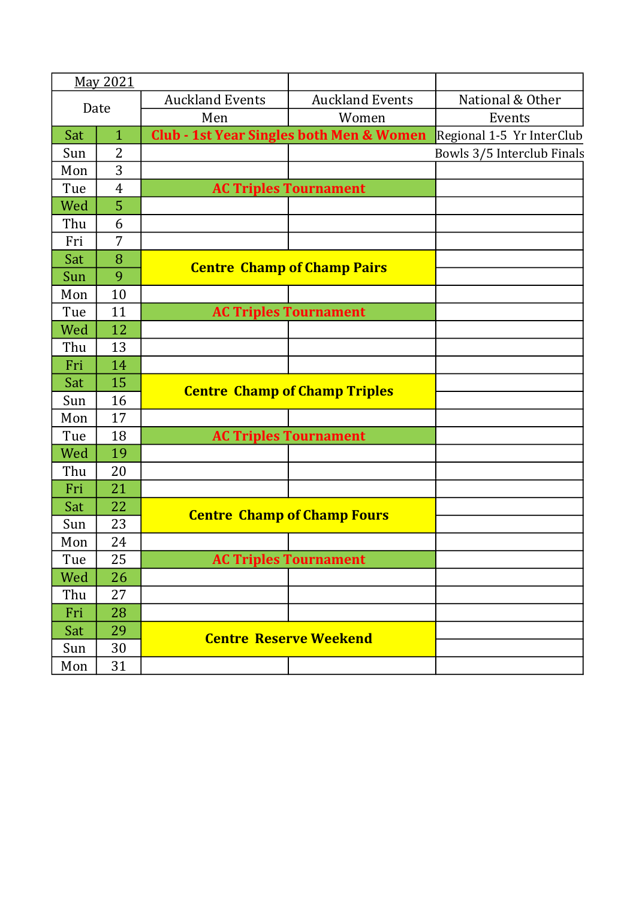|      | May 2021       |                        |                                                     |                            |
|------|----------------|------------------------|-----------------------------------------------------|----------------------------|
| Date |                | <b>Auckland Events</b> | <b>Auckland Events</b>                              | National & Other           |
|      |                | Men                    | Women                                               | Events                     |
| Sat  | $\mathbf{1}$   |                        | <b>Club - 1st Year Singles both Men &amp; Women</b> | Regional 1-5 Yr InterClub  |
| Sun  | $\overline{2}$ |                        |                                                     | Bowls 3/5 Interclub Finals |
| Mon  | 3              |                        |                                                     |                            |
| Tue  | $\overline{4}$ |                        | <b>AC Triples Tournament</b>                        |                            |
| Wed  | 5              |                        |                                                     |                            |
| Thu  | 6              |                        |                                                     |                            |
| Fri  | 7              |                        |                                                     |                            |
| Sat  | 8              |                        | <b>Centre Champ of Champ Pairs</b>                  |                            |
| Sun  | 9              |                        |                                                     |                            |
| Mon  | 10             |                        |                                                     |                            |
| Tue  | 11             |                        | <b>AC Triples Tournament</b>                        |                            |
| Wed  | 12             |                        |                                                     |                            |
| Thu  | 13             |                        |                                                     |                            |
| Fri  | 14             |                        |                                                     |                            |
| Sat  | 15             |                        | <b>Centre Champ of Champ Triples</b>                |                            |
| Sun  | 16             |                        |                                                     |                            |
| Mon  | 17             |                        |                                                     |                            |
| Tue  | 18             |                        | <b>AC Triples Tournament</b>                        |                            |
| Wed  | 19             |                        |                                                     |                            |
| Thu  | 20             |                        |                                                     |                            |
| Fri  | 21             |                        |                                                     |                            |
| Sat  | 22             |                        | <b>Centre Champ of Champ Fours</b>                  |                            |
| Sun  | 23             |                        |                                                     |                            |
| Mon  | 24             |                        |                                                     |                            |
| Tue  | 25             |                        | <b>AC Triples Tournament</b>                        |                            |
| Wed  | 26             |                        |                                                     |                            |
| Thu  | 27             |                        |                                                     |                            |
| Fri  | 28             |                        |                                                     |                            |
| Sat  | 29             |                        | <b>Centre Reserve Weekend</b>                       |                            |
| Sun  | 30             |                        |                                                     |                            |
| Mon  | 31             |                        |                                                     |                            |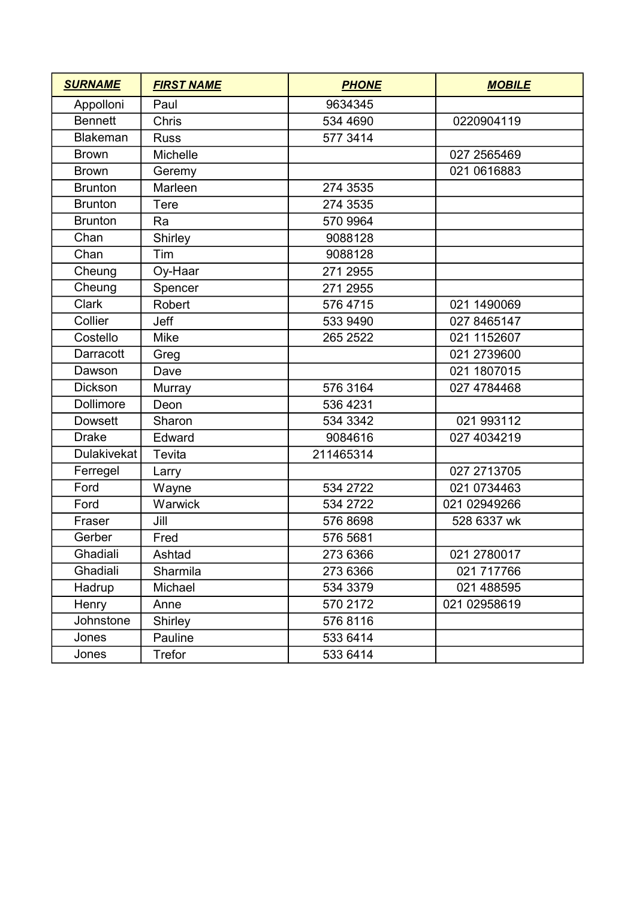| <b>SURNAME</b>   | <b>FIRST NAME</b> | <b>PHONE</b> | <b>MOBILE</b> |
|------------------|-------------------|--------------|---------------|
| Appolloni        | Paul              | 9634345      |               |
| <b>Bennett</b>   | Chris             | 534 4690     | 0220904119    |
| <b>Blakeman</b>  | <b>Russ</b>       | 577 3414     |               |
| <b>Brown</b>     | Michelle          |              | 027 2565469   |
| <b>Brown</b>     | Geremy            |              | 021 0616883   |
| <b>Brunton</b>   | Marleen           | 274 3535     |               |
| <b>Brunton</b>   | Tere              | 274 3535     |               |
| <b>Brunton</b>   | Ra                | 570 9964     |               |
| Chan             | Shirley           | 9088128      |               |
| Chan             | Tim               | 9088128      |               |
| Cheung           | Oy-Haar           | 271 2955     |               |
| Cheung           | Spencer           | 271 2955     |               |
| <b>Clark</b>     | <b>Robert</b>     | 576 4715     | 021 1490069   |
| Collier          | Jeff              | 533 9490     | 027 8465147   |
| Costello         | Mike              | 265 2522     | 021 1152607   |
| Darracott        | Greg              |              | 021 2739600   |
| Dawson           | Dave              |              | 021 1807015   |
| <b>Dickson</b>   | Murray            | 576 3164     | 027 4784468   |
| <b>Dollimore</b> | Deon              | 536 4231     |               |
| <b>Dowsett</b>   | Sharon            | 534 3342     | 021 993112    |
| <b>Drake</b>     | Edward            | 9084616      | 027 4034219   |
| Dulakivekat      | Tevita            | 211465314    |               |
| Ferregel         | Larry             |              | 027 2713705   |
| Ford             | Wayne             | 534 2722     | 021 0734463   |
| Ford             | Warwick           | 534 2722     | 021 02949266  |
| Fraser           | Jill              | 576 8698     | 528 6337 wk   |
| Gerber           | Fred              | 576 5681     |               |
| Ghadiali         | Ashtad            | 273 6366     | 021 2780017   |
| Ghadiali         | Sharmila          | 273 6366     | 021 717766    |
| Hadrup           | Michael           | 534 3379     | 021 488595    |
| Henry            | Anne              | 570 2172     | 021 02958619  |
| Johnstone        | Shirley           | 576 8116     |               |
| Jones            | Pauline           | 533 6414     |               |
| Jones            | Trefor            | 533 6414     |               |